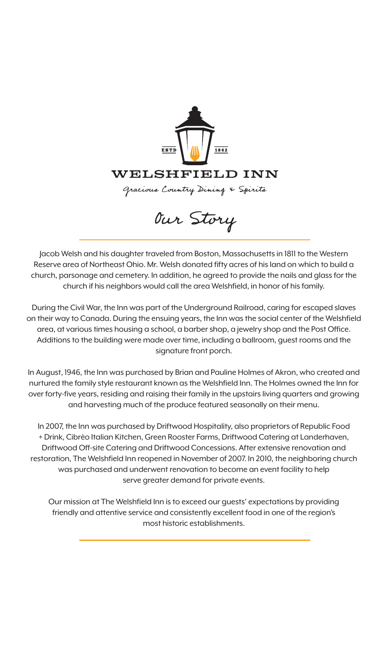

Our Story

Jacob Welsh and his daughter traveled from Boston, Massachusetts in 1811 to the Western Reserve area of Northeast Ohio. Mr. Welsh donated fifty acres of his land on which to build a church, parsonage and cemetery. In addition, he agreed to provide the nails and glass for the church if his neighbors would call the area Welshfield, in honor of his family.

During the Civil War, the Inn was part of the Underground Railroad, caring for escaped slaves on their way to Canada. During the ensuing years, the Inn was the social center of the Welshfield area, at various times housing a school, a barber shop, a jewelry shop and the Post Office. Additions to the building were made over time, including a ballroom, guest rooms and the signature front porch.

In August, 1946, the Inn was purchased by Brian and Pauline Holmes of Akron, who created and nurtured the family style restaurant known as the Welshfield Inn. The Holmes owned the Inn for over forty-five years, residing and raising their family in the upstairs living quarters and growing and harvesting much of the produce featured seasonally on their menu.

In 2007, the Inn was purchased by Driftwood Hospitality, also proprietors of Republic Food + Drink, Cibrèo Italian Kitchen, Green Rooster Farms, Driftwood Catering at Landerhaven, Driftwood Off-site Catering and Driftwood Concessions. After extensive renovation and restoration, The Welshfield Inn reopened in November of 2007. In 2010, the neighboring church was purchased and underwent renovation to become an event facility to help serve greater demand for private events.

Our mission at The Welshfield Inn is to exceed our guests' expectations by providing friendly and attentive service and consistently excellent food in one of the region's most historic establishments.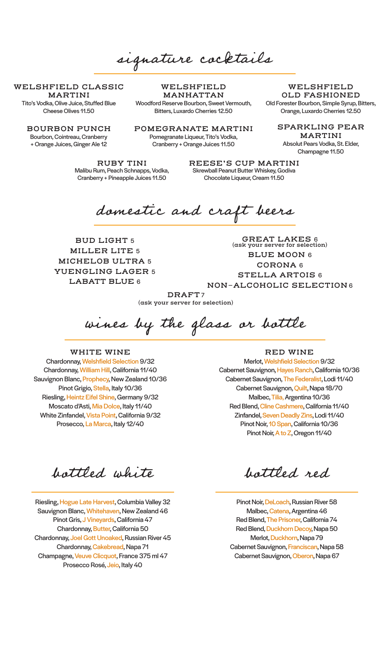signature cocktails

**WELSHFIELD CLASSIC MARTINI**  Tito's Vodka, Olive Juice, Stuffed Blue

Cheese Olives 11.50

**BOURBON PUNCH** Bourbon, Cointreau, Cranberry + Orange Juices, Ginger Ale 12

**WELSHFIELD MANHATTAN** Woodford Reserve Bourbon, Sweet Vermouth, Bitters, Luxardo Cherries 12.50

**POMEGRANATE MARTINI**

Pomegranate Liqueur, Tito's Vodka, Cranberry + Orange Juices 11.50

**RUBY TINI**  Malibu Rum, Peach Schnapps, Vodka, Cranberry + Pineapple Juices 11.50

**REESE'S CUP MARTINI**  Skrewball Peanut Butter Whiskey, Godiva Chocolate Liqueur, Cream 11.50

domestic and craft beers

**BUD LIGHT** 5 **MILLER LITE** 5 **MICHELOB ULTRA** 5 **YUENGLING LAGER** 5 **LABATT BLUE** 6

**GREAT LAKES** 6 **(ask your server for selection) BLUE MOON** 6 **CORONA** 6 **STELLA ARTOIS** 6 **NON-ALCOHOLIC SELECTION** 6

**DRAFT** 7 **(ask your server for selection)**

wines by the glass or bottle

## **WHITE WINE**

Chardonnay, Welshfield Selection 9/32 Chardonnay, William Hill, California 11/40 Sauvignon Blanc, Prophecy, New Zealand 10/36 Pinot Grigio, Stella, Italy 10/36 Riesling, Heintz Eifel Shine, Germany 9/32 Moscato d'Asti, Mia Dolce, Italy 11/40 White Zinfandel, Vista Point, California 9/32 Prosecco, La Marca, Italy 12/40

**RED WINE**

Merlot, Welshfield Selection 9/32 Cabernet Sauvignon, Hayes Ranch, California 10/36 Cabernet Sauvignon, The Federalist, Lodi 11/40 Cabernet Sauvignon, Quilt, Napa 18/70 Malbec, Tilia, Argentina 10/36 Red Blend, Cline Cashmere, California 11/40 Zinfandel, Seven Deadly Zins, Lodi 11/40 Pinot Noir, 10 Span, California 10/36 Pinot Noir, A to Z, Oregon 11/40

bottled white

Riesling, Hogue Late Harvest, Columbia Valley 32 Sauvignon Blanc, Whitehaven, New Zealand 46 Pinot Gris, J Vineyards, California 47 Chardonnay, Butter, California 50 Chardonnay, Joel Gott Unoaked, Russian River 45 Chardonnay, Cakebread, Napa 71 Champagne, Veuve Clicquot, France 375 ml 47 Prosecco Rosé, Jeio, Italy 40

bottled red

Pinot Noir, DeLoach, Russian River 58 Malbec, Catena, Argentina 46 Red Blend, The Prisoner, California 74 Red Blend, Duckhorn Decoy, Napa 50 Merlot, Duckhorn, Napa 79 Cabernet Sauvignon, Franciscan, Napa 58 Cabernet Sauvignon, Oberon, Napa 67

**WELSHFIELD OLD FASHIONED** Old Forester Bourbon, Simple Syrup, Bitters, Orange, Luxardo Cherries 12.50

**SPARKLING PEAR MARTINI** 

Absolut Pears Vodka, St. Elder, Champagne 11.50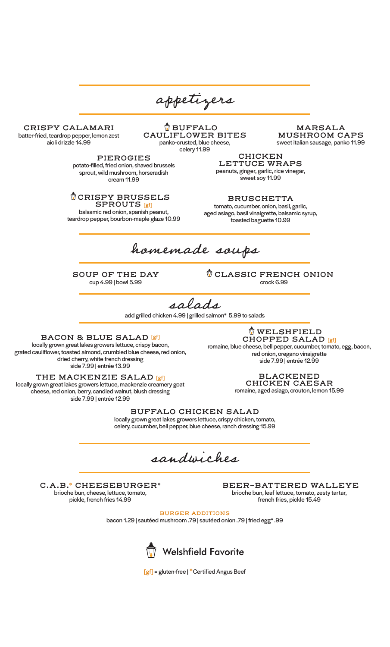appetizers

**CRISPY CALAMARI** batter-fried, teardrop pepper, lemon zest aioli drizzle 14.99

**BUFFALO CAULIFLOWER BITES** panko-crusted, blue cheese, celery 11.99

**MARSALA MUSHROOM CAPS** sweet italian sausage, panko 11.99

**PIEROGIES** potato-filled, fried onion, shaved brussels sprout, wild mushroom, horseradish cream 11.99

**CRISPY BRUSSELS SPROUTS** [gf]

balsamic red onion, spanish peanut, teardrop pepper, bourbon-maple glaze 10.99

**CHICKEN LETTUCE WRAPS**  peanuts, ginger, garlic, rice vinegar, sweet soy 11.99

**BRUSCHETTA** tomato, cucumber, onion, basil, garlic, aged asiago, basil vinaigrette, balsamic syrup, toasted baguette 10.99

homemade soups

**SOUP OF THE DAY** cup 4.99 | bowl 5.99

**CLASSIC FRENCH ONION** crock 6.99

salads

add grilled chicken 4.99 | grilled salmon\* 5.99 to salads

**BACON & BLUE SALAD** [gf] locally grown great lakes growers lettuce, crispy bacon, grated cauliflower, toasted almond, crumbled blue cheese, red onion, dried cherry, white french dressing

side 7.99 | entrée 13.99

**THE MACKENZIE SALAD** [gf] locally grown great lakes growers lettuce, mackenzie creamery goat cheese, red onion, berry, candied walnut, blush dressing side 7.99 | entrée 12.99

**WELSHFIELD CHOPPED SALAD** [gf]

romaine, blue cheese, bell pepper, cucumber, tomato, egg, bacon, red onion, oregano vinaigrette side 7.99 | entrée 12.99

> **BLACKENED CHICKEN CAESAR**

romaine, aged asiago, crouton, lemon 15.99

**BUFFALO CHICKEN SALAD**  locally grown great lakes growers lettuce, crispy chicken, tomato, celery, cucumber, bell pepper, blue cheese, ranch dressing 15.99

sandwiches

**C.A.B.\* CHEESEBURGER\*** brioche bun, cheese, lettuce, tomato, pickle, french fries 14.99

**BEER-BATTERED WALLEYE** brioche bun, leaf lettuce, tomato, zesty tartar, french fries, pickle 15.49

**BURGER ADDITIONS**

bacon 1.29 | sautéed mushroom .79 | sautéed onion .79 | fried egg\* .99



[gf] = gluten-free | **\***Certified Angus Beef